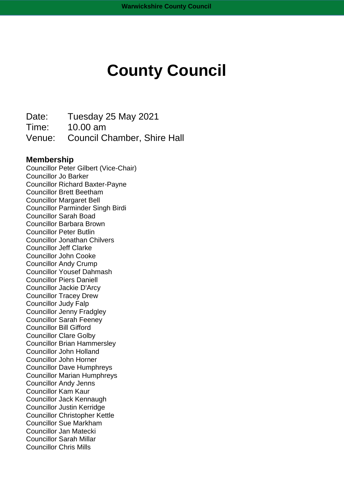# **County Council**

Date: Tuesday 25 May 2021 Time: 10.00 am Venue: Council Chamber, Shire Hall

### **Membership**

Councillor Peter Gilbert (Vice-Chair) Councillor Jo Barker Councillor Richard Baxter-Payne Councillor Brett Beetham Councillor Margaret Bell Councillor Parminder Singh Birdi Councillor Sarah Boad Councillor Barbara Brown Councillor Peter Butlin Councillor Jonathan Chilvers Councillor Jeff Clarke Councillor John Cooke Councillor Andy Crump Councillor Yousef Dahmash Councillor Piers Daniell Councillor Jackie D'Arcy Councillor Tracey Drew Councillor Judy Falp Councillor Jenny Fradgley Councillor Sarah Feeney Councillor Bill Gifford Councillor Clare Golby Councillor Brian Hammersley Councillor John Holland Councillor John Horner Councillor Dave Humphreys Councillor Marian Humphreys Councillor Andy Jenns Councillor Kam Kaur Councillor Jack Kennaugh Councillor Justin Kerridge Councillor Christopher Kettle Councillor Sue Markham Councillor Jan Matecki Councillor Sarah Millar Councillor Chris Mills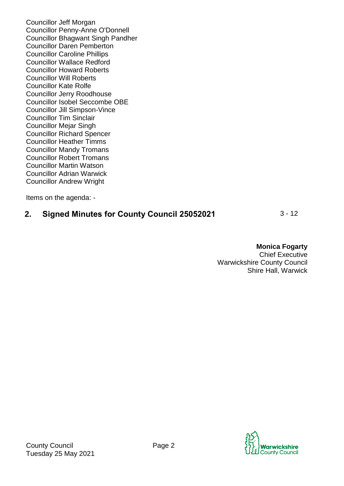Councillor Jeff Morgan Councillor Penny-Anne O'Donnell Councillor Bhagwant Singh Pandher Councillor Daren Pemberton Councillor Caroline Phillips Councillor Wallace Redford Councillor Howard Roberts Councillor Will Roberts Councillor Kate Rolfe Councillor Jerry Roodhouse Councillor Isobel Seccombe OBE Councillor Jill Simpson-Vince Councillor Tim Sinclair Councillor Mejar Singh Councillor Richard Spencer Councillor Heather Timms Councillor Mandy Tromans Councillor Robert Tromans Councillor Martin Watson Councillor Adrian Warwick Councillor Andrew Wright

Items on the agenda: -

## **2. Signed Minutes for County Council 25052021** 3 - 12

**Monica Fogarty**

Chief Executive Warwickshire County Council Shire Hall, Warwick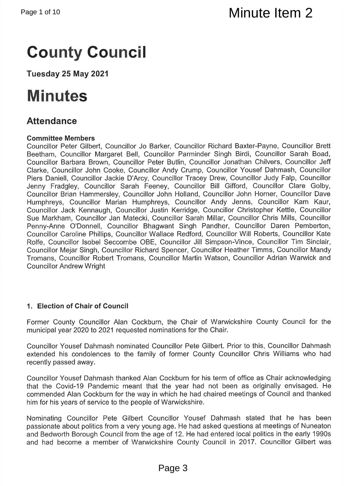Minute Item 2<br>
Minute Item 2<br>
Country Counter II<br>
Tuesday 25 May 2021<br>
Minutes Second<br>
Countries Members<br>
Countries Members<br>
Countries Members<br>
Countries Members<br>
Countries Members<br>
Countries Members<br>
Countries Members<br>
Co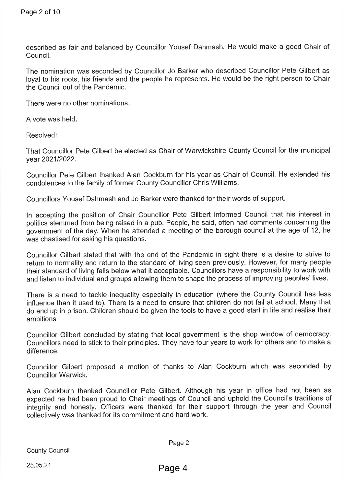Page 2 of 10<br>
described as fair and balanced by Councillor Youse<br>
Council.<br>
The nomination was seconded by Councillor Jo Bar<br>
Usyal to his roots, his friends and the people he repr<br>
the Council out of the Pandemic.<br>
There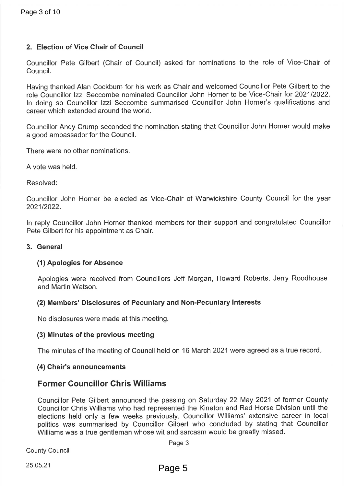Page 3 of 10<br>
2. Election of Vice Chair of Council<br>
Councillor Pete Gilbert (Chair of Council) asked<br>
Councillor Pete Gilbert (Chair of Council) asked<br>
Howing thanked Alan Cockburn for his work as Chair<br>
religion concillor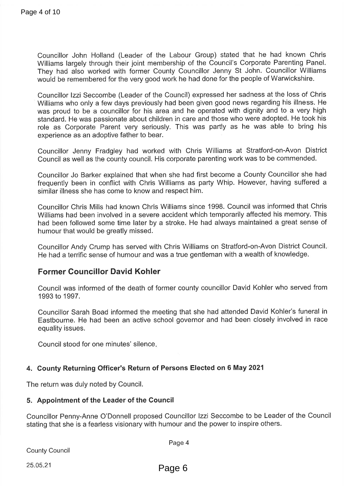Page 4 of 10<br>
Councillor John Holland (Leader of the Labou<br>
Williams largely through their joint membership<br>
They had also worked with former County Co<br>
would be remembered for the very good work he<br>
Councillor Izzi Seccom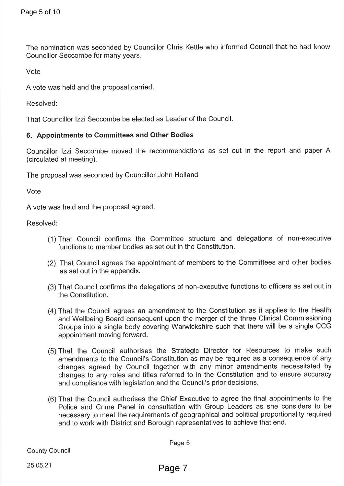- 
- 
- 
- 
- Page 5 of 10<br>
The nomination was seconded by Councillor Chris P<br>
Councillor Seccombe for many years.<br>
Vote<br>
A vote was held and the proposal carried.<br>
Resolved:<br>
That Councillor Izzi Seccombe be elected as Leader<br>
6. Appoi
	-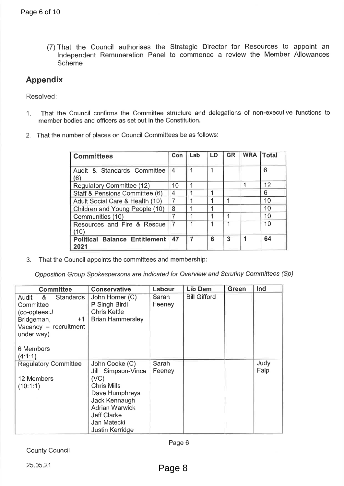- 
- 

| <b>Committees</b>                            | Con            | Lab | LD | <b>GR</b> | <b>WRA</b> | <b>Total</b> |
|----------------------------------------------|----------------|-----|----|-----------|------------|--------------|
| Audit & Standards Committee<br>(6)           | 4              |     |    |           |            | 6            |
| Regulatory Committee (12)                    | 10             |     |    |           |            | 12           |
| Staff & Pensions Committee (6)               | 4              |     |    |           |            | 6            |
| Adult Social Care & Health (10)              | $\overline{7}$ |     |    |           |            | 10           |
| Children and Young People (10)               | 8              |     |    |           |            | 10           |
| Communities (10)                             | 7              |     |    |           |            | 10           |
| Resources and Fire & Rescue<br>(10)          | 7              |     |    |           |            | 10           |
| <b>Political Balance Entitlement</b><br>2021 | 47             |     | 6  | 3         | 1          | 64           |

| Page 6 of 10                                                                                                                                                  |                                                                                                                                                                                        |                 |                |                     |                |                |              |              |
|---------------------------------------------------------------------------------------------------------------------------------------------------------------|----------------------------------------------------------------------------------------------------------------------------------------------------------------------------------------|-----------------|----------------|---------------------|----------------|----------------|--------------|--------------|
| Scheme                                                                                                                                                        | (7) That the Council authorises the Strategic Director for Resources<br>Independent Remuneration Panel to commence a review the Memb                                                   |                 |                |                     |                |                |              |              |
| <b>Appendix</b>                                                                                                                                               |                                                                                                                                                                                        |                 |                |                     |                |                |              |              |
| Resolved:                                                                                                                                                     |                                                                                                                                                                                        |                 |                |                     |                |                |              |              |
| 1.                                                                                                                                                            | That the Council confirms the Committee structure and delegations of non-execu<br>member bodies and officers as set out in the Constitution.                                           |                 |                |                     |                |                |              |              |
|                                                                                                                                                               | 2. That the number of places on Council Committees be as follows:                                                                                                                      |                 |                |                     |                |                |              |              |
|                                                                                                                                                               | <b>Committees</b>                                                                                                                                                                      |                 | Con            | Lab                 | LD             | <b>GR</b>      | <b>WRA</b>   | <b>Total</b> |
| (6)                                                                                                                                                           | Audit & Standards Committee                                                                                                                                                            |                 | $\overline{4}$ | $\mathbf 1$         | $\mathbf 1$    |                |              | 6            |
|                                                                                                                                                               | Regulatory Committee (12)                                                                                                                                                              |                 | 10             | 1                   |                |                | $\mathbf{1}$ | 12           |
|                                                                                                                                                               | Staff & Pensions Committee (6)                                                                                                                                                         |                 | $\overline{4}$ | 1                   | 1              |                |              | 6            |
|                                                                                                                                                               | Adult Social Care & Health (10)                                                                                                                                                        |                 | $\overline{7}$ | 1                   | $\overline{1}$ | $\mathbf 1$    |              | 10           |
|                                                                                                                                                               | Children and Young People (10)                                                                                                                                                         |                 | 8              | 1                   | 1              |                |              | 10           |
|                                                                                                                                                               | Communities (10)                                                                                                                                                                       |                 | $\overline{7}$ | 1                   | 1              | 1              |              | 10           |
| (10)                                                                                                                                                          | Resources and Fire & Rescue                                                                                                                                                            |                 | $\overline{7}$ | 1                   | 1              | 1              |              | 10           |
| 2021                                                                                                                                                          | <b>Political Balance Entitlement</b>                                                                                                                                                   |                 | 47             | $\overline{7}$      | 6              | $\overline{3}$ | 1            | 64           |
| 3.<br><b>Committee</b>                                                                                                                                        | That the Council appoints the committees and membership:<br>Opposition Group Spokespersons are indicated for Overview and Scrutiny Committees (<br><b>Conservative</b>                 | Labour          |                | <b>Lib Dem</b>      |                | <b>Green</b>   |              | Ind          |
| <b>Standards</b><br>8 <sub>1</sub><br>Audit<br>Committee<br>(co-optees:J<br>Bridgeman,<br>$+1$<br>Vacancy - recruitment<br>under way)<br>6 Members<br>(4:1:1) | John Horner (C)<br>P Singh Birdi<br><b>Chris Kettle</b><br><b>Brian Hammersley</b>                                                                                                     | Sarah<br>Feeney |                | <b>Bill Gifford</b> |                |                |              |              |
| <b>Regulatory Committee</b><br>12 Members<br>(10:1:1)                                                                                                         | John Cooke (C)<br>Jill Simpson-Vince<br>(VC)<br><b>Chris Mills</b><br>Dave Humphreys<br>Jack Kennaugh<br><b>Adrian Warwick</b><br><b>Jeff Clarke</b><br>Jan Matecki<br>Justin Kerridge | Sarah<br>Feeney |                |                     |                |                |              | Judy<br>Falp |
| <b>County Council</b>                                                                                                                                         |                                                                                                                                                                                        |                 | Page 6         |                     |                |                |              |              |
| 25.05.21                                                                                                                                                      |                                                                                                                                                                                        |                 | Page 8         |                     |                |                |              |              |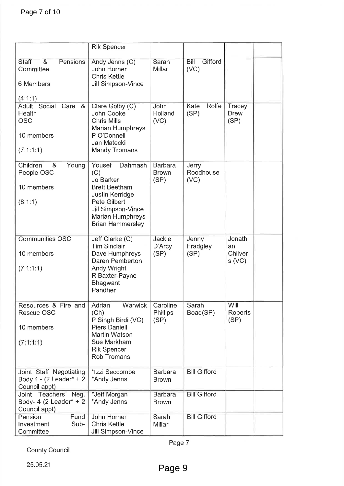| Page 7 of 10                                                                      |                                                                                                                                                                       |                                        |                            |                                  |  |
|-----------------------------------------------------------------------------------|-----------------------------------------------------------------------------------------------------------------------------------------------------------------------|----------------------------------------|----------------------------|----------------------------------|--|
|                                                                                   |                                                                                                                                                                       |                                        |                            |                                  |  |
|                                                                                   | <b>Rik Spencer</b>                                                                                                                                                    |                                        |                            |                                  |  |
| <b>Staff</b><br>Pensions<br>8 <sub>x</sub><br>Committee<br>6 Members              | Andy Jenns (C)<br>John Horner<br><b>Chris Kettle</b><br>Jill Simpson-Vince                                                                                            | Sarah<br>Millar                        | Gifford<br>Bill<br>(VC)    |                                  |  |
| (4:1:1)                                                                           |                                                                                                                                                                       |                                        |                            |                                  |  |
| Adult Social<br>Care<br>8 <sub>x</sub><br>Health<br><b>OSC</b>                    | Clare Golby (C)<br>John Cooke<br><b>Chris Mills</b><br><b>Marian Humphreys</b>                                                                                        | John<br>Holland<br>(VC)                | Rolfe<br>Kate<br>(SP)      | Tracey<br><b>Drew</b><br>(SP)    |  |
| 10 members<br>(7:1:1:1)                                                           | P O'Donnell<br>Jan Matecki<br><b>Mandy Tromans</b>                                                                                                                    |                                        |                            |                                  |  |
| Children<br>8 <sub>x</sub><br>Young<br>People OSC<br>10 members<br>(8:1:1)        | Yousef<br>Dahmash<br>(C)<br>Jo Barker<br><b>Brett Beetham</b><br>Justin Kerridge<br>Pete Gilbert<br>Jill Simpson-Vince<br>Marian Humphreys<br><b>Brian Hammersley</b> | <b>Barbara</b><br><b>Brown</b><br>(SP) | Jerry<br>Roodhouse<br>(VC) |                                  |  |
| <b>Communities OSC</b><br>10 members<br>(7:1:1:1)                                 | Jeff Clarke (C)<br><b>Tim Sinclair</b><br>Dave Humphreys<br>Daren Pemberton<br>Andy Wright<br>R Baxter-Payne<br><b>Bhagwant</b><br>Pandher                            | Jackie<br>D'Arcy<br>(SP)               | Jenny<br>Fradgley<br>(SP)  | Jonath<br>an<br>Chilver<br>s(VC) |  |
| Resources & Fire and<br><b>Rescue OSC</b><br>10 members<br>(7:1:1:1)              | Warwick<br>Adrian<br>(Ch)<br>P Singh Birdi (VC)<br><b>Piers Daniell</b><br>Martin Watson<br>Sue Markham<br><b>Rik Spencer</b><br><b>Rob Tromans</b>                   | Caroline<br><b>Phillips</b><br>(SP)    | Sarah<br>Boad(SP)          | Will<br><b>Roberts</b><br>(SP)   |  |
| Joint Staff Negotiating<br>Body $4 - (2$ Leader <sup>*</sup> + 2<br>Council appt) | *Izzi Seccombe<br>*Andy Jenns                                                                                                                                         | <b>Barbara</b><br><b>Brown</b>         | <b>Bill Gifford</b>        |                                  |  |
| Joint Teachers<br>Neg.<br>Body- 4 (2 Leader* $+ 2$<br>Council appt)               | *Jeff Morgan<br>*Andy Jenns                                                                                                                                           | <b>Barbara</b><br><b>Brown</b>         | <b>Bill Gifford</b>        |                                  |  |
| Fund<br>Pension<br>Sub-<br>Investment<br>Committee                                | John Horner<br><b>Chris Kettle</b><br>Jill Simpson-Vince                                                                                                              | Sarah<br>Millar                        | <b>Bill Gifford</b>        |                                  |  |
| <b>County Council</b>                                                             |                                                                                                                                                                       | Page 7                                 |                            |                                  |  |
| 25.05.21                                                                          |                                                                                                                                                                       | Page 9                                 |                            |                                  |  |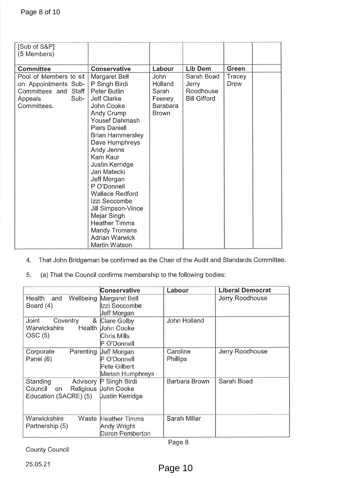| Page 8 of 10                                                                   |                                                                                                                                                                                                                                                                                                                                                                                                                                                                 |                                                        |                                           |                                                                                    |
|--------------------------------------------------------------------------------|-----------------------------------------------------------------------------------------------------------------------------------------------------------------------------------------------------------------------------------------------------------------------------------------------------------------------------------------------------------------------------------------------------------------------------------------------------------------|--------------------------------------------------------|-------------------------------------------|------------------------------------------------------------------------------------|
|                                                                                |                                                                                                                                                                                                                                                                                                                                                                                                                                                                 |                                                        |                                           |                                                                                    |
|                                                                                |                                                                                                                                                                                                                                                                                                                                                                                                                                                                 |                                                        |                                           |                                                                                    |
| [Sub of S&P]<br>(5 Members)                                                    |                                                                                                                                                                                                                                                                                                                                                                                                                                                                 |                                                        |                                           |                                                                                    |
| <b>Committee</b>                                                               |                                                                                                                                                                                                                                                                                                                                                                                                                                                                 | Labour                                                 | <b>Lib Dem</b>                            | <b>Green</b>                                                                       |
| Pool of Members to sit                                                         | <b>Conservative</b><br>Margaret Bell                                                                                                                                                                                                                                                                                                                                                                                                                            | <b>John</b>                                            | Sarah Boad                                | Tracey                                                                             |
| on Appointments Sub-<br>Committees and Staff<br>Sub-<br>Appeals<br>Committees. | P Singh Birdi<br><b>Peter Butlin</b><br><b>Jeff Clarke</b><br>John Cooke<br>Andy Crump<br><b>Yousef Dahmash</b><br><b>Piers Daniell</b><br><b>Brian Hammersley</b><br>Dave Humphreys<br>Andy Jenns<br>Kam Kaur<br>Justin Kerridge<br>Jan Matecki<br>Jeff Morgan<br>P O'Donnell<br><b>Wallace Redford</b><br>Izzi Seccombe<br>Jill Simpson-Vince<br>Mejar Singh<br><b>Heather Timms</b><br><b>Mandy Tromans</b><br><b>Adrian Warwick</b><br><b>Martin Watson</b> | Holland<br>Sarah<br>Feeney<br>Barabara<br><b>Brown</b> | Jerry<br>Roodhouse<br><b>Bill Gifford</b> | Drew                                                                               |
| 4.<br>5.                                                                       | (a) That the Council confirms membership to the following bodies:                                                                                                                                                                                                                                                                                                                                                                                               |                                                        |                                           | That John Bridgeman be confirmed as the Chair of the Audit and Standards Committee |
|                                                                                | <b>Conservative</b>                                                                                                                                                                                                                                                                                                                                                                                                                                             | Labour                                                 |                                           | <b>Liberal Democrat</b>                                                            |
| and<br>Wellbeing<br>Health<br>Board (4)                                        | Margaret Bell<br>Izzi Seccombe<br>Jeff Morgan                                                                                                                                                                                                                                                                                                                                                                                                                   |                                                        |                                           | Jerry Roodhouse                                                                    |
| Joint<br>Coventry<br>Warwickshire<br>OSC(5)                                    | &<br>Clare Golby<br>John Cooke<br>Health<br><b>Chris Mills</b><br>P O'Donnell                                                                                                                                                                                                                                                                                                                                                                                   |                                                        | John Holland                              |                                                                                    |
| Corporate<br>Parenting<br>Panel (6)                                            | Jeff Morgan<br>P O'Donnell<br>Pete Gilbert<br>Marian Humphreys                                                                                                                                                                                                                                                                                                                                                                                                  | Caroline<br>Phillips                                   |                                           | Jerry Roodhouse                                                                    |
| Standing<br>Advisory<br>Council<br>Religious<br>on<br>Education (SACRE) (5)    | P Singh Birdi<br><b>John Cooke</b><br>Uustin Kerridge                                                                                                                                                                                                                                                                                                                                                                                                           |                                                        | <b>Barbara Brown</b>                      | Sarah Boad                                                                         |
| Warwickshire<br>Partnership (5)                                                | Waste Heather Timms<br>Andy Wright<br>Daren Pemberton                                                                                                                                                                                                                                                                                                                                                                                                           |                                                        | Sarah Millar                              |                                                                                    |
|                                                                                |                                                                                                                                                                                                                                                                                                                                                                                                                                                                 | Page 8                                                 |                                           |                                                                                    |
| <b>County Council</b><br>25.05.21                                              |                                                                                                                                                                                                                                                                                                                                                                                                                                                                 | Page 10                                                |                                           |                                                                                    |

|                                                                | <b>Conservative</b>                                                   | Labour                      | <b>Liberal Democrat</b> |
|----------------------------------------------------------------|-----------------------------------------------------------------------|-----------------------------|-------------------------|
| Wellbeing<br><b>Health</b><br>and<br>Board (4)                 | Margaret Bell<br>Izzi Seccombe<br>Jeff Morgan                         |                             | Jerry Roodhouse         |
| Joint<br>&<br>Coventry<br>Health<br>Warwickshire<br>OSC(5)     | Clare Golby<br>John Cooke<br>Chris Mills<br>O'Donnell                 | John Holland                |                         |
| Parenting<br>Corporate<br>Panel (6)                            | <b>Jeff Morgan</b><br>P O'Donnell<br>Pete Gilbert<br>Marian Humphreys | Caroline<br><b>Phillips</b> | Jerry Roodhouse         |
| Standing<br>Advisory<br>Council<br>on<br>Education (SACRE) (5) | P Singh Birdi<br>Religious Uohn Cooke<br>Uustin Kerridge              | Barbara Brown               | Sarah Boad              |
| Warwickshire<br>Waste<br>Partnership (5)                       | <b>Heather Timms</b><br>Andy Wright<br>Daren Pemberton                | Sarah Millar                |                         |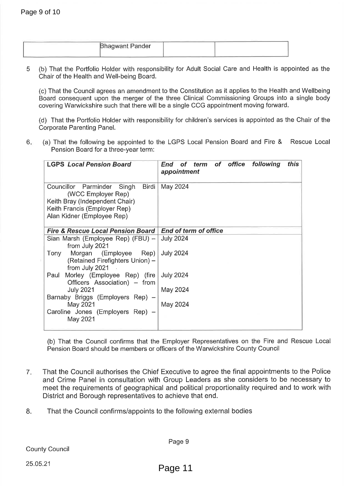| <b>Bhagwant Pander</b> |  |
|------------------------|--|
|                        |  |

|    | <b>Bhagwant Pander</b>                                                                                                                                                                                                                                                                                                                                                                            |                                                                                                                                                                                                                                                                                                                                                                                                                                                                                     |
|----|---------------------------------------------------------------------------------------------------------------------------------------------------------------------------------------------------------------------------------------------------------------------------------------------------------------------------------------------------------------------------------------------------|-------------------------------------------------------------------------------------------------------------------------------------------------------------------------------------------------------------------------------------------------------------------------------------------------------------------------------------------------------------------------------------------------------------------------------------------------------------------------------------|
| 5  | Chair of the Health and Well-being Board.                                                                                                                                                                                                                                                                                                                                                         | (b) That the Portfolio Holder with responsibility for Adult Social Care and Health is appoint<br>(c) That the Council agrees an amendment to the Constitution as it applies to the Health and<br>Board consequent upon the merger of the three Clinical Commissioning Groups into a si<br>covering Warwickshire such that there will be a single CCG appointment moving forward.<br>(d) That the Portfolio Holder with responsibility for children's services is appointed as the C |
| 6. | <b>Corporate Parenting Panel.</b><br>Pension Board for a three-year term:                                                                                                                                                                                                                                                                                                                         | (a) That the following be appointed to the LGPS Local Pension Board and Fire &<br>Res                                                                                                                                                                                                                                                                                                                                                                                               |
|    | <b>LGPS Local Pension Board</b>                                                                                                                                                                                                                                                                                                                                                                   | of office<br>following<br>this<br>of term<br>End<br>appointment                                                                                                                                                                                                                                                                                                                                                                                                                     |
|    | Councillor Parminder<br>Singh<br>Birdi<br>(WCC Employer Rep)<br>Keith Bray (Independent Chair)<br>Keith Francis (Employer Rep)<br>Alan Kidner (Employee Rep)                                                                                                                                                                                                                                      | May 2024                                                                                                                                                                                                                                                                                                                                                                                                                                                                            |
|    | <b>Fire &amp; Rescue Local Pension Board</b><br>Sian Marsh (Employee Rep) (FBU) -<br>from July 2021<br>Morgan<br>(Employee<br>Tony<br>Rep)<br>(Retained Firefighters Union) -<br>from July 2021<br>Paul Morley (Employee Rep) (fire July 2024<br>Officers Association) – from<br><b>July 2021</b><br>Barnaby Briggs (Employers Rep) -<br>May 2021<br>Caroline Jones (Employers Rep) -<br>May 2021 | <b>End of term of office</b><br><b>July 2024</b><br><b>July 2024</b><br>May 2024<br>May 2024                                                                                                                                                                                                                                                                                                                                                                                        |
|    |                                                                                                                                                                                                                                                                                                                                                                                                   | (b) That the Council confirms that the Employer Representatives on the Fire and Res<br>Pension Board should be members or officers of the Warwickshire County Council                                                                                                                                                                                                                                                                                                               |
| 7. | District and Borough representatives to achieve that end.                                                                                                                                                                                                                                                                                                                                         | That the Council authorises the Chief Executive to agree the final appointments to t<br>and Crime Panel in consultation with Group Leaders as she considers to be nec<br>meet the requirements of geographical and political proportionality required and to                                                                                                                                                                                                                        |
| 8. | That the Council confirms/appoints to the following external bodies                                                                                                                                                                                                                                                                                                                               |                                                                                                                                                                                                                                                                                                                                                                                                                                                                                     |
|    |                                                                                                                                                                                                                                                                                                                                                                                                   | Page 9                                                                                                                                                                                                                                                                                                                                                                                                                                                                              |
|    | <b>County Council</b>                                                                                                                                                                                                                                                                                                                                                                             |                                                                                                                                                                                                                                                                                                                                                                                                                                                                                     |
|    | 25.05.21                                                                                                                                                                                                                                                                                                                                                                                          | Page 11                                                                                                                                                                                                                                                                                                                                                                                                                                                                             |

- 
-